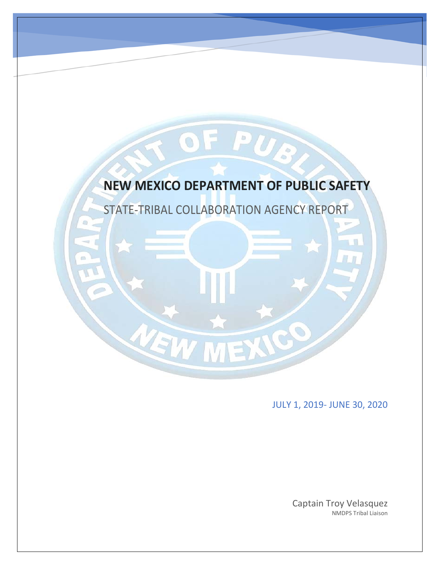

JULY 1, 2019- JUNE 30, 2020

Captain Troy Velasquez NMDPS Tribal Liaison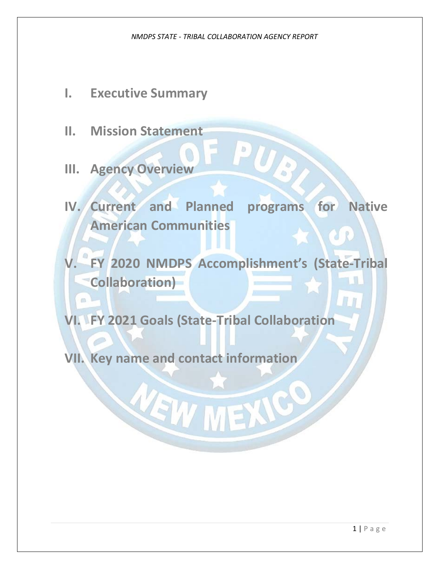- **I. Executive Summary**
- **II. Mission Statement**
- **III. Agency Overview**
- **IV. Current and Planned programs for Native American Communities**

UR

**V. FY 2020 NMDPS Accomplishment's (State-Tribal**  T. D **Collaboration)** 

**VI. FY 2021 Goals (State-Tribal Collaboration**

VEW MEXICO

**VII. Key name and contact information**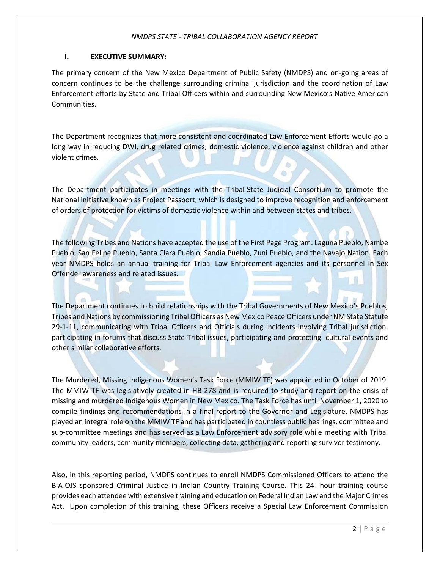# **I. EXECUTIVE SUMMARY:**

The primary concern of the New Mexico Department of Public Safety (NMDPS) and on-going areas of concern continues to be the challenge surrounding criminal jurisdiction and the coordination of Law Enforcement efforts by State and Tribal Officers within and surrounding New Mexico's Native American Communities.

The Department recognizes that more consistent and coordinated Law Enforcement Efforts would go a long way in reducing DWI, drug related crimes, domestic violence, violence against children and other violent crimes.

bs.

The Department participates in meetings with the Tribal-State Judicial Consortium to promote the National initiative known as Project Passport, which is designed to improve recognition and enforcement of orders of protection for victims of domestic violence within and between states and tribes.

The following Tribes and Nations have accepted the use of the First Page Program: Laguna Pueblo, Nambe Pueblo, San Felipe Pueblo, Santa Clara Pueblo, Sandia Pueblo, Zuni Pueblo, and the Navajo Nation. Each year NMDPS holds an annual training for Tribal Law Enforcement agencies and its personnel in Sex Offender awareness and related issues.

The Department continues to build relationships with the Tribal Governments of New Mexico's Pueblos, Tribes and Nations by commissioning Tribal Officers as New Mexico Peace Officers under NM State Statute 29-1-11, communicating with Tribal Officers and Officials during incidents involving Tribal jurisdiction, participating in forums that discuss State-Tribal issues, participating and protecting cultural events and other similar collaborative efforts.

The Murdered, Missing Indigenous Women's Task Force (MMIW TF) was appointed in October of 2019. The MMIW TF was legislatively created in HB 278 and is required to study and report on the crisis of missing and murdered Indigenous Women in New Mexico. The Task Force has until November 1, 2020 to compile findings and recommendations in a final report to the Governor and Legislature. NMDPS has played an integral role on the MMIW TF and has participated in countless public hearings, committee and sub-committee meetings and has served as a Law Enforcement advisory role while meeting with Tribal community leaders, community members, collecting data, gathering and reporting survivor testimony.

Also, in this reporting period, NMDPS continues to enroll NMDPS Commissioned Officers to attend the BIA-OJS sponsored Criminal Justice in Indian Country Training Course. This 24- hour training course provides each attendee with extensive training and education on Federal Indian Law and the Major Crimes Act. Upon completion of this training, these Officers receive a Special Law Enforcement Commission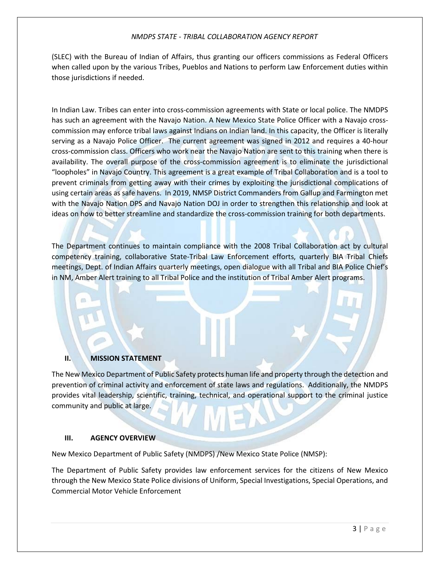(SLEC) with the Bureau of Indian of Affairs, thus granting our officers commissions as Federal Officers when called upon by the various Tribes, Pueblos and Nations to perform Law Enforcement duties within those jurisdictions if needed.

In Indian Law. Tribes can enter into cross-commission agreements with State or local police. The NMDPS has such an agreement with the Navajo Nation. A New Mexico State Police Officer with a Navajo crosscommission may enforce tribal laws against Indians on Indian land. In this capacity, the Officer is literally serving as a Navajo Police Officer. The current agreement was signed in 2012 and requires a 40-hour cross-commission class. Officers who work near the Navajo Nation are sent to this training when there is availability. The overall purpose of the cross-commission agreement is to eliminate the jurisdictional "loopholes" in Navajo Country. This agreement is a great example of Tribal Collaboration and is a tool to prevent criminals from getting away with their crimes by exploiting the jurisdictional complications of using certain areas as safe havens. In 2019, NMSP District Commanders from Gallup and Farmington met with the Navajo Nation DPS and Navajo Nation DOJ in order to strengthen this relationship and look at ideas on how to better streamline and standardize the cross-commission training for both departments.

The Department continues to maintain compliance with the 2008 Tribal Collaboration act by cultural competency training, collaborative State-Tribal Law Enforcement efforts, quarterly BIA Tribal Chiefs meetings, Dept. of Indian Affairs quarterly meetings, open dialogue with all Tribal and BIA Police Chief's in NM, Amber Alert training to all Tribal Police and the institution of Tribal Amber Alert programs.

# **II. MISSION STATEMENT**

The New Mexico Department of Public Safety protects human life and property through the detection and prevention of criminal activity and enforcement of state laws and regulations. Additionally, the NMDPS provides vital leadership, scientific, training, technical, and operational support to the criminal justice community and public at large.

# **III. AGENCY OVERVIEW**

New Mexico Department of Public Safety (NMDPS) /New Mexico State Police (NMSP):

The Department of Public Safety provides law enforcement services for the citizens of New Mexico through the New Mexico State Police divisions of Uniform, Special Investigations, Special Operations, and Commercial Motor Vehicle Enforcement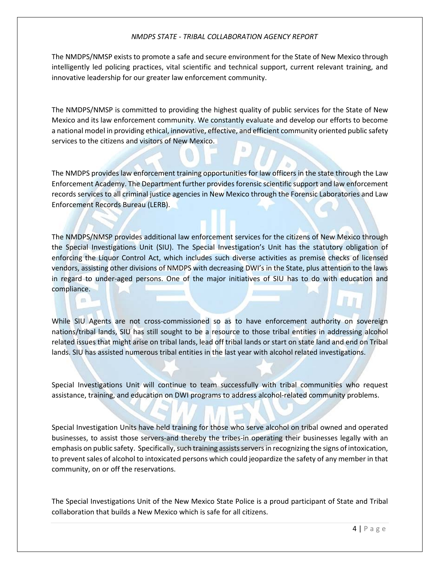The NMDPS/NMSP exists to promote a safe and secure environment for the State of New Mexico through intelligently led policing practices, vital scientific and technical support, current relevant training, and innovative leadership for our greater law enforcement community.

The NMDPS/NMSP is committed to providing the highest quality of public services for the State of New Mexico and its law enforcement community. We constantly evaluate and develop our efforts to become a national model in providing ethical, innovative, effective, and efficient community oriented public safety services to the citizens and visitors of New Mexico.

The NMDPS provides law enforcement training opportunities for law officers in the state through the Law Enforcement Academy. The Department further provides forensic scientific support and law enforcement records services to all criminal justice agencies in New Mexico through the Forensic Laboratories and Law Enforcement Records Bureau (LERB).

The NMDPS/NMSP provides additional law enforcement services for the citizens of New Mexico through the Special Investigations Unit (SIU). The Special Investigation's Unit has the statutory obligation of enforcing the Liquor Control Act, which includes such diverse activities as premise checks of licensed vendors, assisting other divisions of NMDPS with decreasing DWI's in the State, plus attention to the laws in regard to under-aged persons. One of the major initiatives of SIU has to do with education and compliance.

 $63$ 

While SIU Agents are not cross-commissioned so as to have enforcement authority on sovereign nations/tribal lands, SIU has still sought to be a resource to those tribal entities in addressing alcohol related issues that might arise on tribal lands, lead off tribal lands or start on state land and end on Tribal lands. SIU has assisted numerous tribal entities in the last year with alcohol related investigations.

Special Investigations Unit will continue to team successfully with tribal communities who request assistance, training, and education on DWI programs to address alcohol-related community problems.

Special Investigation Units have held training for those who serve alcohol on tribal owned and operated businesses, to assist those servers-and thereby the tribes-in operating their businesses legally with an emphasis on public safety. Specifically, such training assists servers in recognizing the signs of intoxication, to prevent sales of alcohol to intoxicated persons which could jeopardize the safety of any member in that community, on or off the reservations.

The Special Investigations Unit of the New Mexico State Police is a proud participant of State and Tribal collaboration that builds a New Mexico which is safe for all citizens.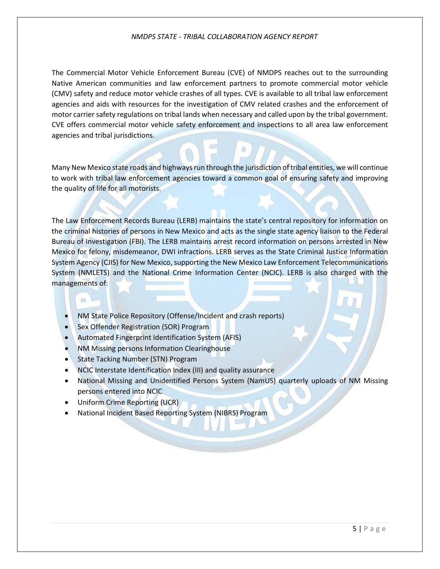The Commercial Motor Vehicle Enforcement Bureau (CVE) of NMDPS reaches out to the surrounding Native American communities and law enforcement partners to promote commercial motor vehicle (CMV) safety and reduce motor vehicle crashes of all types. CVE is available to all tribal law enforcement agencies and aids with resources for the investigation of CMV related crashes and the enforcement of motor carrier safety regulations on tribal lands when necessary and called upon by the tribal government. CVE offers commercial motor vehicle safety enforcement and inspections to all area law enforcement agencies and tribal jurisdictions.

Many New Mexico state roads and highways run through the jurisdiction of tribal entities, we will continue to work with tribal law enforcement agencies toward a common goal of ensuring safety and improving the quality of life for all motorists.

The Law Enforcement Records Bureau (LERB) maintains the state's central repository for information on the criminal histories of persons in New Mexico and acts as the single state agency liaison to the Federal Bureau of Investigation (FBI). The LERB maintains arrest record information on persons arrested in New Mexico for felony, misdemeanor, DWI infractions. LERB serves as the State Criminal Justice Information System Agency (CJIS) for New Mexico, supporting the New Mexico Law Enforcement Telecommunications System (NMLETS) and the National Crime Information Center (NCIC). LERB is also charged with the managements of:

- NM State Police Repository (Offense/Incident and crash reports)
- Sex Offender Registration (SOR) Program
- Automated Fingerprint Identification System (AFIS)
- NM Missing persons Information Clearinghouse
- State Tacking Number (STN) Program
- NCIC Interstate Identification Index (III) and quality assurance
- National Missing and Unidentified Persons System (NamUS) quarterly uploads of NM Missing persons entered into NCIC
- Uniform Crime Reporting (UCR)

 $63$ 

• National Incident Based Reporting System (NIBRS) Program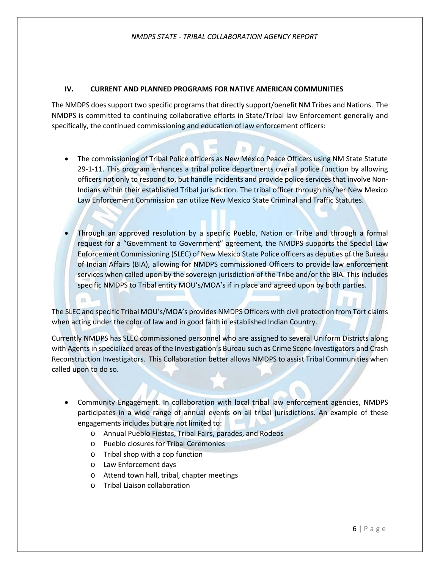# **IV. CURRENT AND PLANNED PROGRAMS FOR NATIVE AMERICAN COMMUNITIES**

The NMDPS does support two specific programs that directly support/benefit NM Tribes and Nations. The NMDPS is committed to continuing collaborative efforts in State/Tribal law Enforcement generally and specifically, the continued commissioning and education of law enforcement officers:

- The commissioning of Tribal Police officers as New Mexico Peace Officers using NM State Statute 29-1-11. This program enhances a tribal police departments overall police function by allowing officers not only to respond to, but handle incidents and provide police services that involve Non-Indians within their established Tribal jurisdiction. The tribal officer through his/her New Mexico Law Enforcement Commission can utilize New Mexico State Criminal and Traffic Statutes.
- Through an approved resolution by a specific Pueblo, Nation or Tribe and through a formal request for a "Government to Government" agreement, the NMDPS supports the Special Law Enforcement Commissioning (SLEC) of New Mexico State Police officers as deputies of the Bureau of Indian Affairs (BIA), allowing for NMDPS commissioned Officers to provide law enforcement services when called upon by the sovereign jurisdiction of the Tribe and/or the BIA. This includes specific NMDPS to Tribal entity MOU's/MOA's if in place and agreed upon by both parties.

The SLEC and specific Tribal MOU's/MOA's provides NMDPS Officers with civil protection from Tort claims when acting under the color of law and in good faith in established Indian Country.

Currently NMDPS has SLEC commissioned personnel who are assigned to several Uniform Districts along with Agents in specialized areas of the Investigation's Bureau such as Crime Scene Investigators and Crash Reconstruction Investigators. This Collaboration better allows NMDPS to assist Tribal Communities when called upon to do so.

- Community Engagement. In collaboration with local tribal law enforcement agencies, NMDPS participates in a wide range of annual events on all tribal jurisdictions. An example of these engagements includes but are not limited to:
	- o Annual Pueblo Fiestas, Tribal Fairs, parades, and Rodeos
	- o Pueblo closures for Tribal Ceremonies
	- o Tribal shop with a cop function
	- o Law Enforcement days
	- o Attend town hall, tribal, chapter meetings
	- o Tribal Liaison collaboration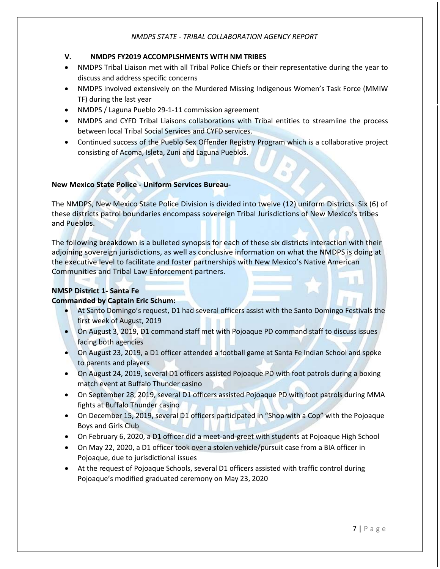# **V. NMDPS FY2019 ACCOMPLSHMENTS WITH NM TRIBES**

- NMDPS Tribal Liaison met with all Tribal Police Chiefs or their representative during the year to discuss and address specific concerns
- NMDPS involved extensively on the Murdered Missing Indigenous Women's Task Force (MMIW TF) during the last year
- NMDPS / Laguna Pueblo 29-1-11 commission agreement
- NMDPS and CYFD Tribal Liaisons collaborations with Tribal entities to streamline the process between local Tribal Social Services and CYFD services.
- Continued success of the Pueblo Sex Offender Registry Program which is a collaborative project consisting of Acoma, Isleta, Zuni and Laguna Pueblos.

# **New Mexico State Police - Uniform Services Bureau-**

The NMDPS, New Mexico State Police Division is divided into twelve (12) uniform Districts. Six (6) of these districts patrol boundaries encompass sovereign Tribal Jurisdictions of New Mexico's tribes and Pueblos.

The following breakdown is a bulleted synopsis for each of these six districts interaction with their adjoining sovereign jurisdictions, as well as conclusive information on what the NMDPS is doing at the executive level to facilitate and foster partnerships with New Mexico's Native American Communities and Tribal Law Enforcement partners.

# **NMSP District 1- Santa Fe**

# **Commanded by Captain Eric Schum:**

- At Santo Domingo's request, D1 had several officers assist with the Santo Domingo Festivals the first week of August, 2019
- On August 3, 2019, D1 command staff met with Pojoaque PD command staff to discuss issues facing both agencies
- On August 23, 2019, a D1 officer attended a football game at Santa Fe Indian School and spoke to parents and players
- On August 24, 2019, several D1 officers assisted Pojoaque PD with foot patrols during a boxing match event at Buffalo Thunder casino
- On September 28, 2019, several D1 officers assisted Pojoaque PD with foot patrols during MMA fights at Buffalo Thunder casino
- On December 15, 2019, several D1 officers participated in "Shop with a Cop" with the Pojoaque Boys and Girls Club
- On February 6, 2020, a D1 officer did a meet-and-greet with students at Pojoaque High School
- On May 22, 2020, a D1 officer took over a stolen vehicle/pursuit case from a BIA officer in Pojoaque, due to jurisdictional issues
- At the request of Pojoaque Schools, several D1 officers assisted with traffic control during Pojoaque's modified graduated ceremony on May 23, 2020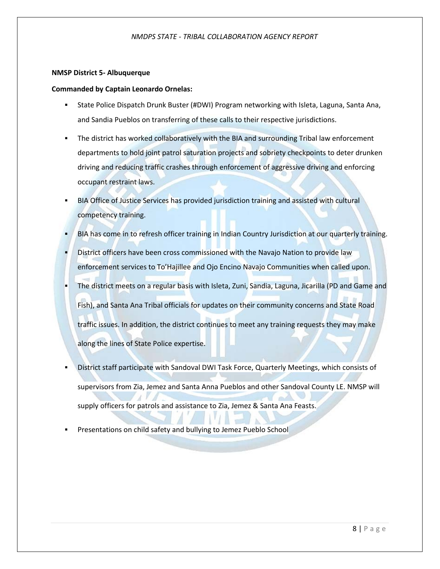### **NMSP District 5- Albuquerque**

## **Commanded by Captain Leonardo Ornelas:**

- State Police Dispatch Drunk Buster (#DWI) Program networking with Isleta, Laguna, Santa Ana, and Sandia Pueblos on transferring of these calls to their respective jurisdictions.
- The district has worked collaboratively with the BIA and surrounding Tribal law enforcement departments to hold joint patrol saturation projects and sobriety checkpoints to deter drunken driving and reducing traffic crashes through enforcement of aggressive driving and enforcing occupant restraint laws.
- BIA Office of Justice Services has provided jurisdiction training and assisted with cultural competency training.
- BIA has come in to refresh officer training in Indian Country Jurisdiction at our quarterly training.
- District officers have been cross commissioned with the Navajo Nation to provide law enforcement services to To'Hajillee and Ojo Encino Navajo Communities when called upon. The district meets on a regular basis with Isleta, Zuni, Sandia, Laguna, Jicarilla (PD and Game and Fish), and Santa Ana Tribal officials for updates on their community concerns and State Road traffic issues. In addition, the district continues to meet any training requests they may make along the lines of State Police expertise.
- District staff participate with Sandoval DWI Task Force, Quarterly Meetings, which consists of supervisors from Zia, Jemez and Santa Anna Pueblos and other Sandoval County LE. NMSP will supply officers for patrols and assistance to Zia, Jemez & Santa Ana Feasts.
- Presentations on child safety and bullying to Jemez Pueblo School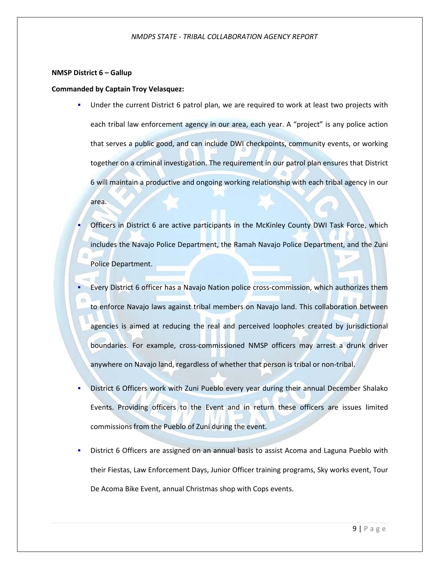### **NMSP District 6 – Gallup**

### **Commanded by Captain Troy Velasquez:**

- Under the current District 6 patrol plan, we are required to work at least two projects with each tribal law enforcement agency in our area, each year. A "project" is any police action that serves a public good, and can include DWI checkpoints, community events, or working together on a criminal investigation. The requirement in our patrol plan ensures that District 6 will maintain a productive and ongoing working relationship with each tribal agency in our area.
	- Officers in District 6 are active participants in the McKinley County DWI Task Force, which includes the Navajo Police Department, the Ramah Navajo Police Department, and the Zuni Police Department.
- Every District 6 officer has a Navajo Nation police cross-commission, which authorizes them to enforce Navajo laws against tribal members on Navajo land. This collaboration between agencies is aimed at reducing the real and perceived loopholes created by jurisdictional boundaries. For example, cross-commissioned NMSP officers may arrest a drunk driver anywhere on Navajo land, regardless of whether that person is tribal or non-tribal.
- District 6 Officers work with Zuni Pueblo every year during their annual December Shalako Events. Providing officers to the Event and in return these officers are issues limited commissions from the Pueblo of Zuni during the event.
- District 6 Officers are assigned on an annual basis to assist Acoma and Laguna Pueblo with their Fiestas, Law Enforcement Days, Junior Officer training programs, Sky works event, Tour De Acoma Bike Event, annual Christmas shop with Cops events.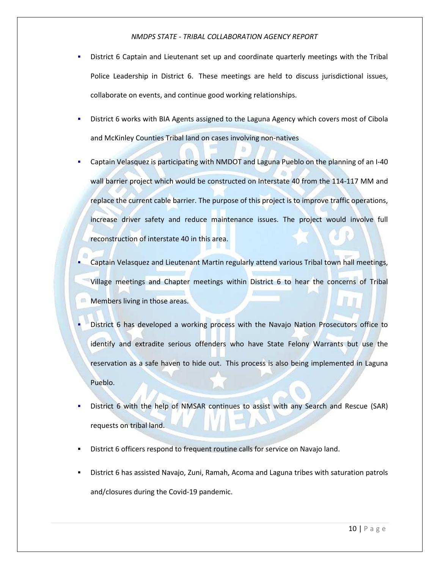- District 6 Captain and Lieutenant set up and coordinate quarterly meetings with the Tribal Police Leadership in District 6. These meetings are held to discuss jurisdictional issues, collaborate on events, and continue good working relationships.
- District 6 works with BIA Agents assigned to the Laguna Agency which covers most of Cibola and McKinley Counties Tribal land on cases involving non-natives
- Captain Velasquez is participating with NMDOT and Laguna Pueblo on the planning of an I-40 wall barrier project which would be constructed on Interstate 40 from the 114-117 MM and replace the current cable barrier. The purpose of this project is to improve traffic operations, increase driver safety and reduce maintenance issues. The project would involve full reconstruction of interstate 40 in this area.
- Captain Velasquez and Lieutenant Martin regularly attend various Tribal town hall meetings, Village meetings and Chapter meetings within District 6 to hear the concerns of Tribal Members living in those areas.
- District 6 has developed a working process with the Navajo Nation Prosecutors office to identify and extradite serious offenders who have State Felony Warrants but use the reservation as a safe haven to hide out. This process is also being implemented in Laguna Pueblo.
- District 6 with the help of NMSAR continues to assist with any Search and Rescue (SAR) requests on tribal land.
- District 6 officers respond to frequent routine calls for service on Navajo land.
- District 6 has assisted Navajo, Zuni, Ramah, Acoma and Laguna tribes with saturation patrols and/closures during the Covid-19 pandemic.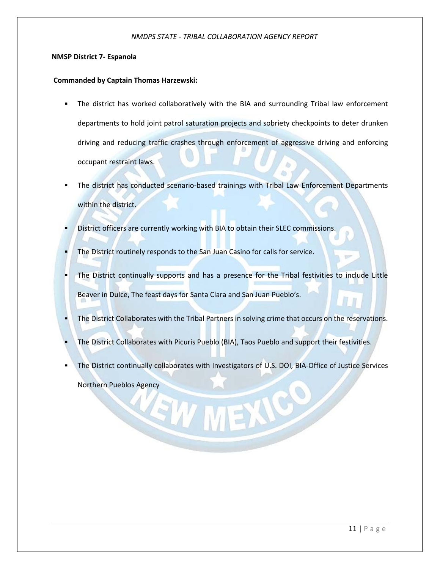### **NMSP District 7- Espanola**

## **Commanded by Captain Thomas Harzewski:**

- The district has worked collaboratively with the BIA and surrounding Tribal law enforcement departments to hold joint patrol saturation projects and sobriety checkpoints to deter drunken driving and reducing traffic crashes through enforcement of aggressive driving and enforcing occupant restraint laws.
- The district has conducted scenario-based trainings with Tribal Law Enforcement Departments within the district.
- District officers are currently working with BIA to obtain their SLEC commissions.
- The District routinely responds to the San Juan Casino for calls for service.
- The District continually supports and has a presence for the Tribal festivities to include Little Beaver in Dulce, The feast days for Santa Clara and San Juan Pueblo's.
- The District Collaborates with the Tribal Partners in solving crime that occurs on the reservations.
- The District Collaborates with Picuris Pueblo (BIA), Taos Pueblo and support their festivities.
- The District continually collaborates with Investigators of U.S. DOI, BIA-Office of Justice Services Northern Pueblos Agency

EW MEXIC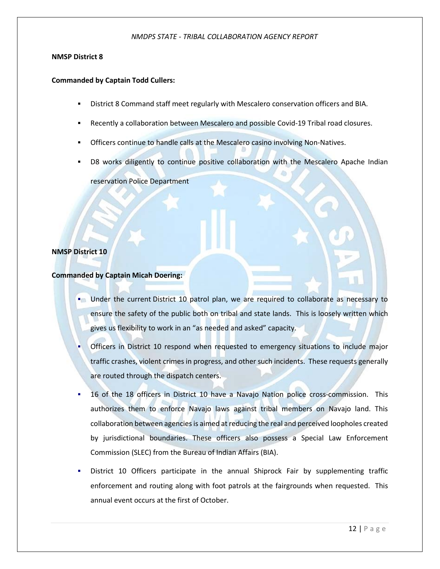# **NMSP District 8**

# **Commanded by Captain Todd Cullers:**

- District 8 Command staff meet regularly with Mescalero conservation officers and BIA.
- Recently a collaboration between Mescalero and possible Covid-19 Tribal road closures.
- Officers continue to handle calls at the Mescalero casino involving Non-Natives.
- D8 works diligently to continue positive collaboration with the Mescalero Apache Indian

reservation Police Department

# **NMSP District 10**

# **Commanded by Captain Micah Doering:**

- **Under the current District 10 patrol plan, we are required to collaborate as necessary to** ensure the safety of the public both on tribal and state lands. This is loosely written which gives us flexibility to work in an "as needed and asked" capacity.
- Officers in District 10 respond when requested to emergency situations to include major traffic crashes, violent crimes in progress, and other such incidents. These requests generally are routed through the dispatch centers.
- 16 of the 18 officers in District 10 have a Navajo Nation police cross-commission. This authorizes them to enforce Navajo laws against tribal members on Navajo land. This collaboration between agencies is aimed at reducing the real and perceived loopholes created by jurisdictional boundaries. These officers also possess a Special Law Enforcement Commission (SLEC) from the Bureau of Indian Affairs (BIA).
- District 10 Officers participate in the annual Shiprock Fair by supplementing traffic enforcement and routing along with foot patrols at the fairgrounds when requested. This annual event occurs at the first of October.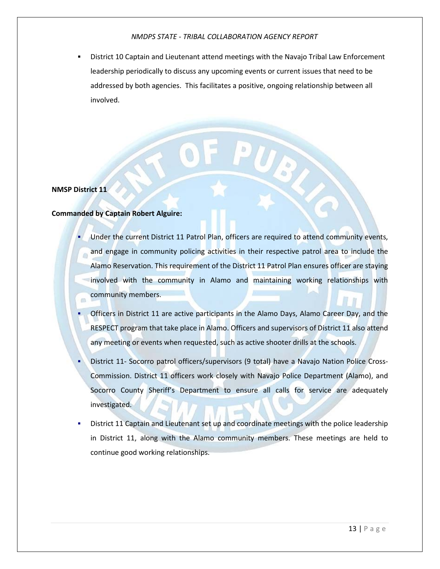District 10 Captain and Lieutenant attend meetings with the Navajo Tribal Law Enforcement leadership periodically to discuss any upcoming events or current issues that need to be addressed by both agencies. This facilitates a positive, ongoing relationship between all involved.

# **NMSP District 11**

# **Commanded by Captain Robert Alguire:**

 Under the current District 11 Patrol Plan, officers are required to attend community events, and engage in community policing activities in their respective patrol area to include the Alamo Reservation. This requirement of the District 11 Patrol Plan ensures officer are staying involved with the community in Alamo and maintaining working relationships with community members.

PUS S

- Officers in District 11 are active participants in the Alamo Days, Alamo Career Day, and the RESPECT program that take place in Alamo. Officers and supervisors of District 11 also attend any meeting or events when requested, such as active shooter drills at the schools.
- District 11- Socorro patrol officers/supervisors (9 total) have a Navajo Nation Police Cross-Commission. District 11 officers work closely with Navajo Police Department (Alamo), and Socorro County Sheriff's Department to ensure all calls for service are adequately investigated.
- District 11 Captain and Lieutenant set up and coordinate meetings with the police leadership in District 11, along with the Alamo community members. These meetings are held to continue good working relationships.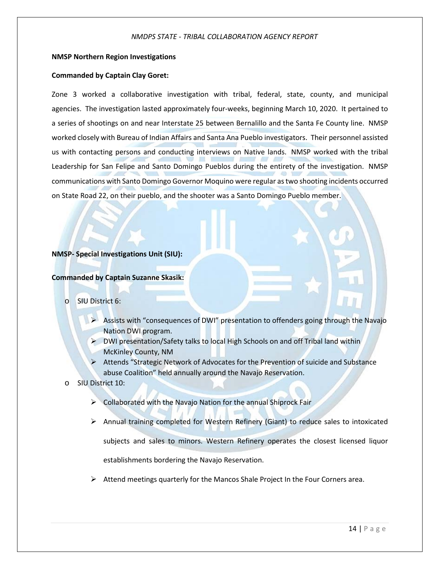## **NMSP Northern Region Investigations**

## **Commanded by Captain Clay Goret:**

Zone 3 worked a collaborative investigation with tribal, federal, state, county, and municipal agencies. The investigation lasted approximately four-weeks, beginning March 10, 2020. It pertained to a series of shootings on and near Interstate 25 between Bernalillo and the Santa Fe County line. NMSP worked closely with Bureau of Indian Affairs and Santa Ana Pueblo investigators. Their personnel assisted us with contacting persons and conducting interviews on Native lands. NMSP worked with the tribal Leadership for San Felipe and Santo Domingo Pueblos during the entirety of the investigation. NMSP communications with Santo Domingo Governor Moquino were regular as two shooting incidents occurred on State Road 22, on their pueblo, and the shooter was a Santo Domingo Pueblo member.

### **NMSP- Special Investigations Unit (SIU):**

# **Commanded by Captain Suzanne Skasik:**

# o SIU District 6:

- Assists with "consequences of DWI" presentation to offenders going through the Navajo Nation DWI program.
- $\triangleright$  DWI presentation/Safety talks to local High Schools on and off Tribal land within McKinley County, NM
- Attends "Strategic Network of Advocates for the Prevention of suicide and Substance abuse Coalition" held annually around the Navajo Reservation.
- o SIU District 10:
	- $\triangleright$  Collaborated with the Navajo Nation for the annual Shiprock Fair
	- $\triangleright$  Annual training completed for Western Refinery (Giant) to reduce sales to intoxicated subjects and sales to minors. Western Refinery operates the closest licensed liquor establishments bordering the Navajo Reservation.
	- $\triangleright$  Attend meetings quarterly for the Mancos Shale Project In the Four Corners area.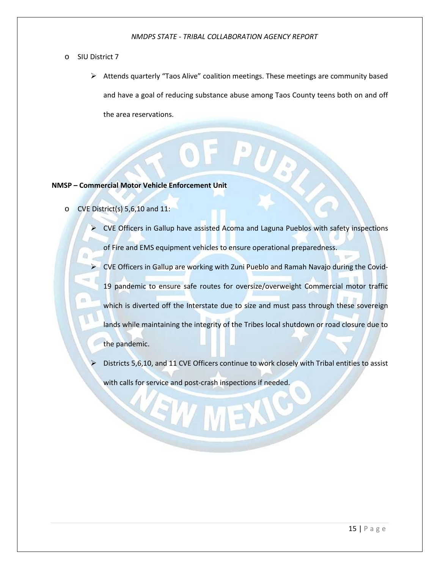### o SIU District 7

 Attends quarterly "Taos Alive" coalition meetings. These meetings are community based and have a goal of reducing substance abuse among Taos County teens both on and off the area reservations.

# **NMSP – Commercial Motor Vehicle Enforcement Unit**

- o CVE District(s) 5,6,10 and 11:
	- $\triangleright$  CVE Officers in Gallup have assisted Acoma and Laguna Pueblos with safety inspections

of Fire and EMS equipment vehicles to ensure operational preparedness.

- CVE Officers in Gallup are working with Zuni Pueblo and Ramah Navajo during the Covid-19 pandemic to ensure safe routes for oversize/overweight Commercial motor traffic which is diverted off the Interstate due to size and must pass through these sovereign lands while maintaining the integrity of the Tribes local shutdown or road closure due to the pandemic.
- Districts 5,6,10, and 11 CVE Officers continue to work closely with Tribal entities to assist with calls for service and post-crash inspections if needed.

EWI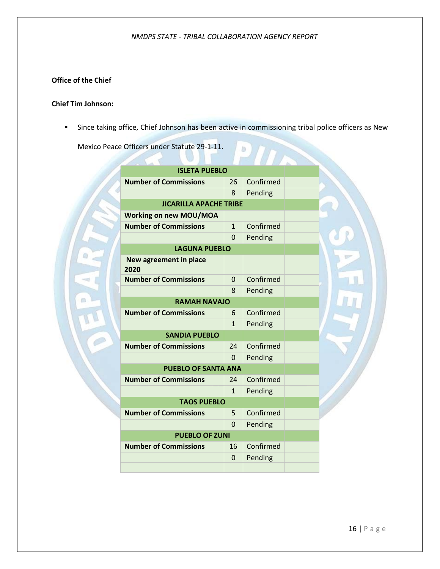# **Office of the Chief**

# **Chief Tim Johnson:**

Since taking office, Chief Johnson has been active in commissioning tribal police officers as New

b

Mexico Peace Officers under Statute 29-1-11.

| <b>ISLETA PUEBLO</b>           |              |           |  |
|--------------------------------|--------------|-----------|--|
| <b>Number of Commissions</b>   | 26           | Confirmed |  |
|                                | 8            | Pending   |  |
| <b>JICARILLA APACHE TRIBE</b>  |              |           |  |
| <b>Working on new MOU/MOA</b>  |              |           |  |
| <b>Number of Commissions</b>   | $\mathbf{1}$ | Confirmed |  |
|                                | 0            | Pending   |  |
| <b>LAGUNA PUEBLO</b>           |              |           |  |
| New agreement in place<br>2020 |              |           |  |
| <b>Number of Commissions</b>   | 0            | Confirmed |  |
|                                | 8            | Pending   |  |
| <b>RAMAH NAVAJO</b>            |              |           |  |
| <b>Number of Commissions</b>   | 6            | Confirmed |  |
|                                | 1            | Pending   |  |
| <b>SANDIA PUEBLO</b>           |              |           |  |
| <b>Number of Commissions</b>   | 24           | Confirmed |  |
|                                | <sup>0</sup> | Pending   |  |
| <b>PUEBLO OF SANTA ANA</b>     |              |           |  |
| <b>Number of Commissions</b>   | 24           | Confirmed |  |
|                                | $\mathbf{1}$ | Pending   |  |
| <b>TAOS PUEBLO</b>             |              |           |  |
| <b>Number of Commissions</b>   | 5            | Confirmed |  |
|                                | $\Omega$     | Pending   |  |
| <b>PUEBLO OF ZUNI</b>          |              |           |  |
| <b>Number of Commissions</b>   | 16           | Confirmed |  |
|                                | 0            | Pending   |  |
|                                |              |           |  |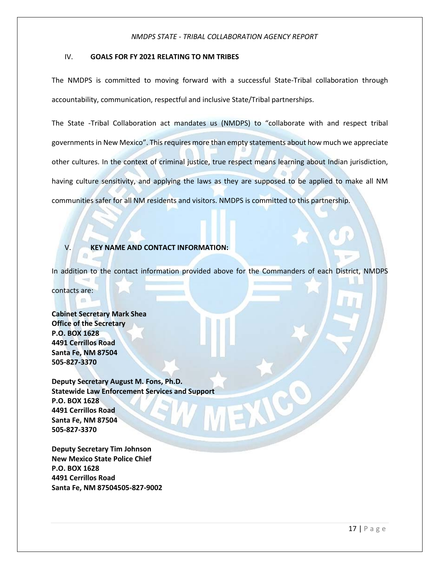### IV. **GOALS FOR FY 2021 RELATING TO NM TRIBES**

The NMDPS is committed to moving forward with a successful State-Tribal collaboration through accountability, communication, respectful and inclusive State/Tribal partnerships.

The State -Tribal Collaboration act mandates us (NMDPS) to "collaborate with and respect tribal governments in New Mexico". This requires more than empty statements about how much we appreciate other cultures. In the context of criminal justice, true respect means learning about Indian jurisdiction, having culture sensitivity, and applying the laws as they are supposed to be applied to make all NM communities safer for all NM residents and visitors. NMDPS is committed to this partnership.

### V. **KEY NAME AND CONTACT INFORMATION:**

In addition to the contact information provided above for the Commanders of each District, NMDPS

contacts are:

**Cabinet Secretary Mark Shea Office of the Secretary P.O. BOX 1628 4491 Cerrillos Road Santa Fe, NM 87504 505-827-3370** 

**Deputy Secretary August M. Fons, Ph.D. Statewide Law Enforcement Services and Support P.O. BOX 1628 4491 Cerrillos Road Santa Fe, NM 87504 505-827-3370** 

**Deputy Secretary Tim Johnson New Mexico State Police Chief P.O. BOX 1628 4491 Cerrillos Road Santa Fe, NM 87504505-827-9002**